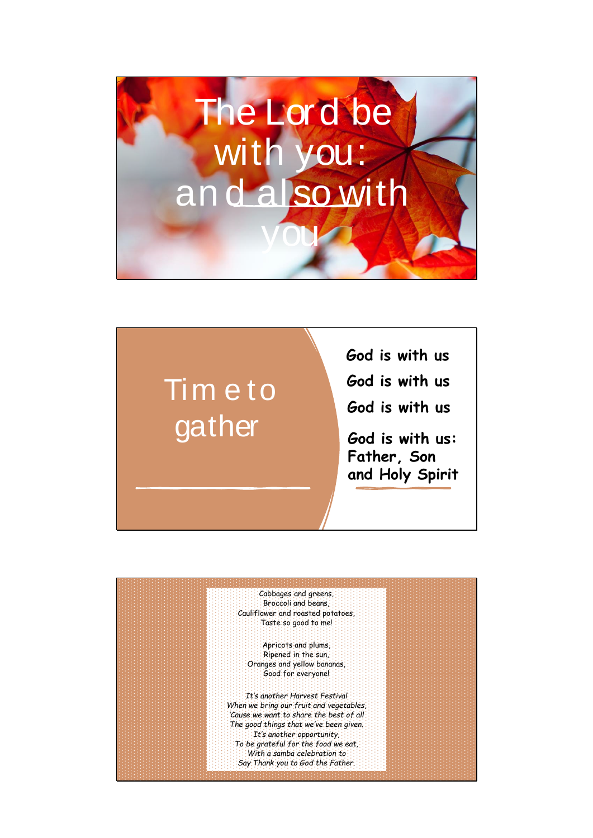

## Tim e to gather

**God is with us God is with us God is with us**

**God is with us: Father, Son and Holy Spirit**

Cabbages and greens, Broccoli and beans, Cauliflower and roasted potatoes, Taste so good to me!

> Apricots and plums, Ripened in the sun, Oranges and yellow bananas, Good for everyone!

*It's another Harvest Festival When we bring our fruit and vegetables, 'Cause we want to share the best of all The good things that we've been given. It's another opportunity, To be grateful for the food we eat, With a samba celebration to Say Thank you to God the Father.*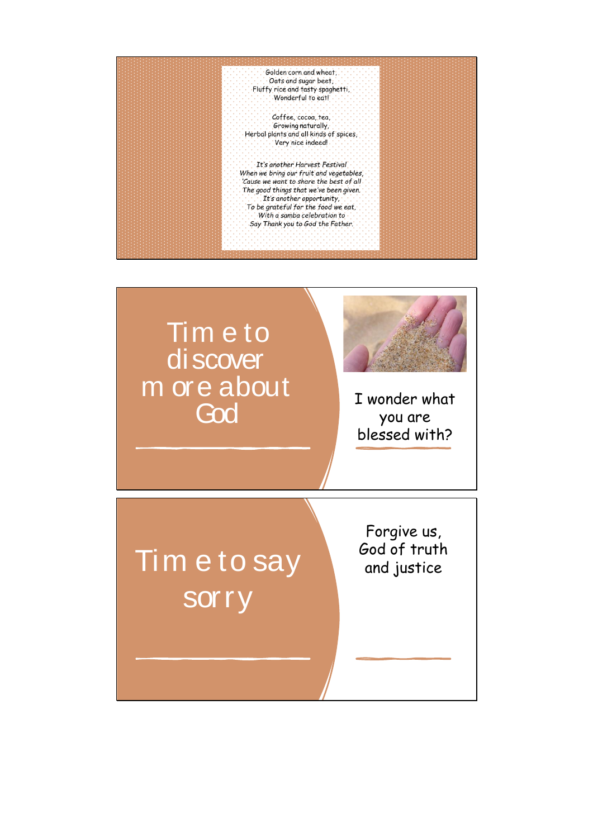Golden corn and wheat, Outs and sugar beet, Fluffy rice and tasty spaghetti, Wonderful to eat!

Coffee, cocoa, tea, Growing naturally, Herbal plants and all kinds of spices, Very nice indeed!

It's another Harvest Festival When we bring our fruit and vegetables, Cause we want to share the best of all

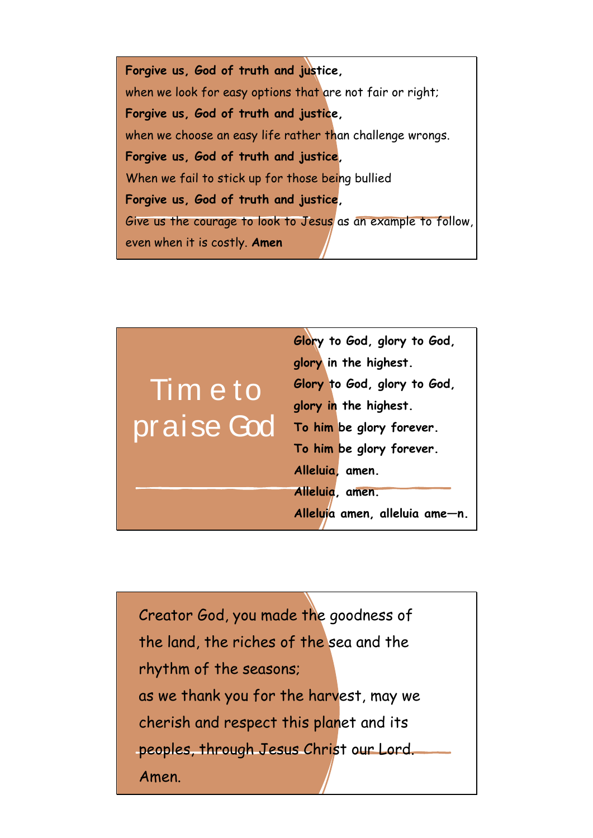**Forgive us, God of truth and justice,** when we look for easy options that are not fair or right; **Forgive us, God of truth and justice,** when we choose an easy life rather than challenge wrongs. **Forgive us, God of truth and justice,** When we fail to stick up for those being bullied **Forgive us, God of truth and justice,** Give us the courage to look to Jesus as an example to follow, even when it is costly. **Amen**

| even when it is costly. Amen |                                                      |
|------------------------------|------------------------------------------------------|
|                              |                                                      |
|                              | Glory to God, glory to God,                          |
| Tim e to                     | glory in the highest.<br>Glory to God, glory to God, |
| praise God                   | glory in the highest.<br>To him be glory forever.    |
|                              | To him be glory forever.<br>Alleluia, amen.          |
|                              | Alleluia, amen.<br>Alleluja amen, alleluia ame-n.    |

Creator God, you made the goodness of the land, the riches of the sea and the rhythm of the seasons; as we thank you for the harvest, may we cherish and respect this planet and its peoples, through Jesus Christ our Lord. Amen.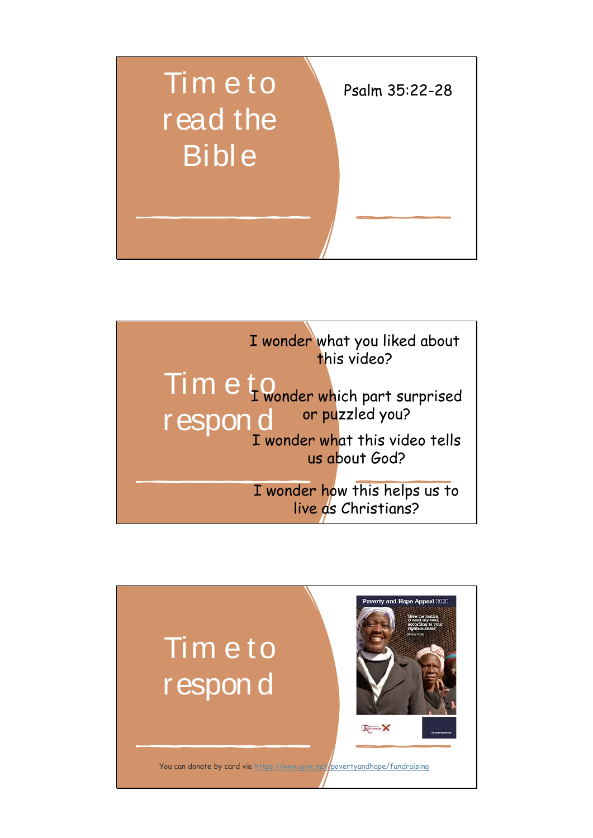



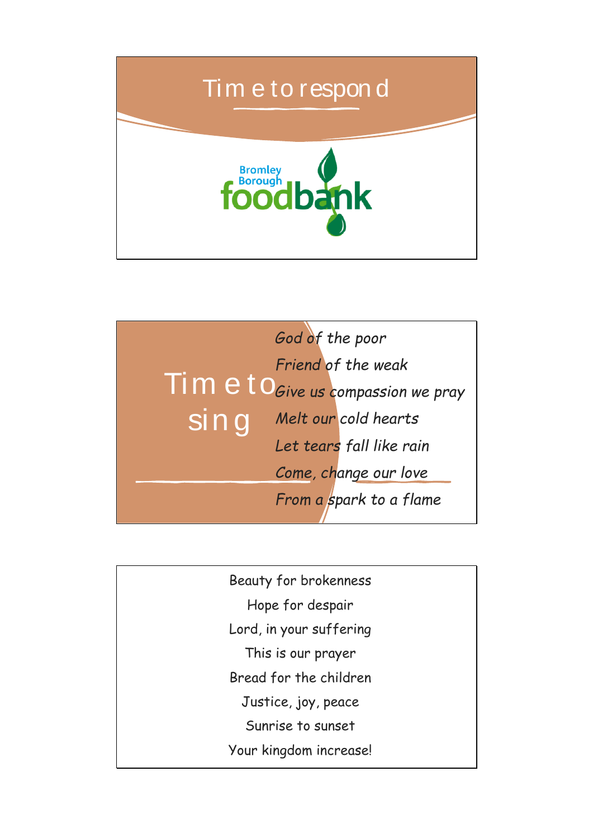



Beauty for brokenness Hope for despair Lord, in your suffering This is our prayer Bread for the children Justice, joy, peace Sunrise to sunset Your kingdom increase!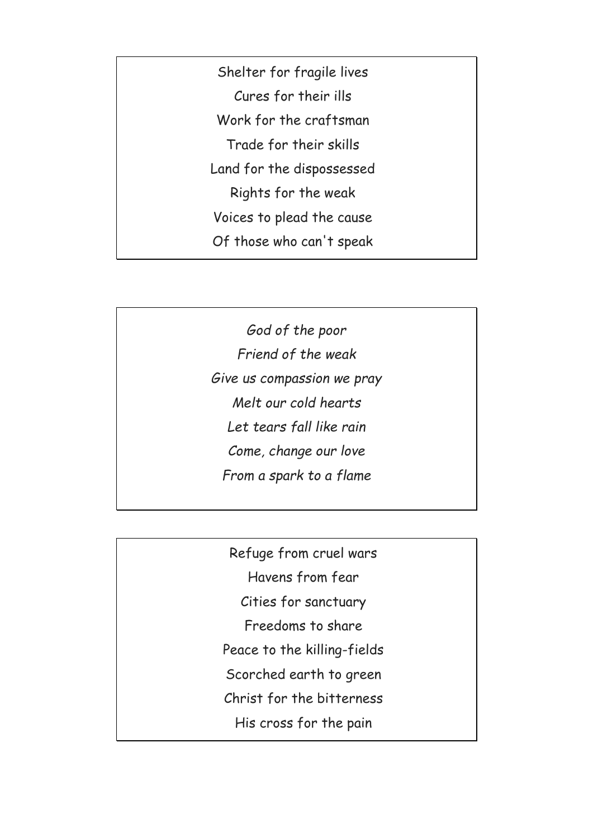Shelter for fragile lives Cures for their ills Work for the craftsman Trade for their skills Land for the dispossessed Rights for the weak Voices to plead the cause Of those who can't speak

*God of the poor Friend of the weak Give us compassion we pray Melt our cold hearts Let tears fall like rain Come, change our love From a spark to a flame*

Refuge from cruel wars Havens from fear Cities for sanctuary Freedoms to share Peace to the killing-fields Scorched earth to green Christ for the bitterness His cross for the pain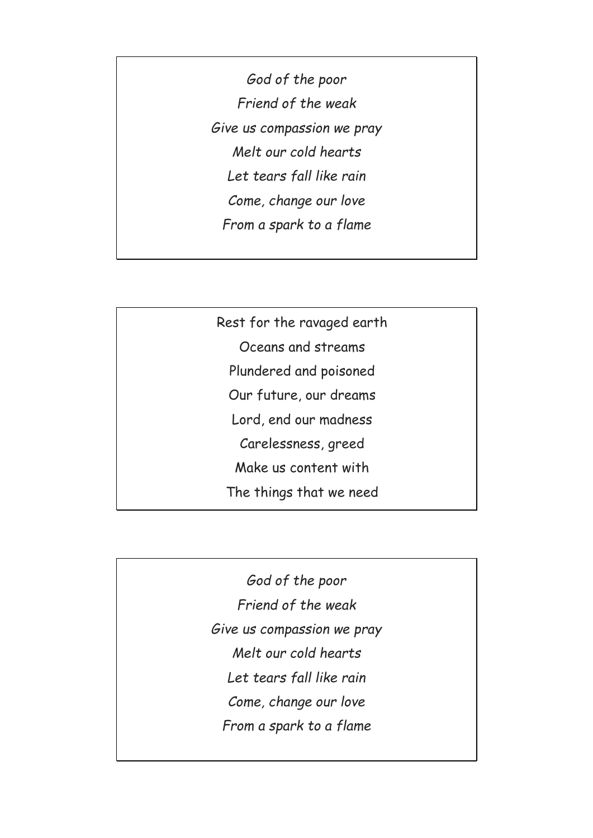*God of the poor Friend of the weak Give us compassion we pray Melt our cold hearts Let tears fall like rain Come, change our love From a spark to a flame*

Rest for the ravaged earth Oceans and streams Plundered and poisoned Our future, our dreams Lord, end our madness Carelessness, greed Make us content with The things that we need

> *God of the poor Friend of the weak Give us compassion we pray Melt our cold hearts Let tears fall like rain Come, change our love From a spark to a flame*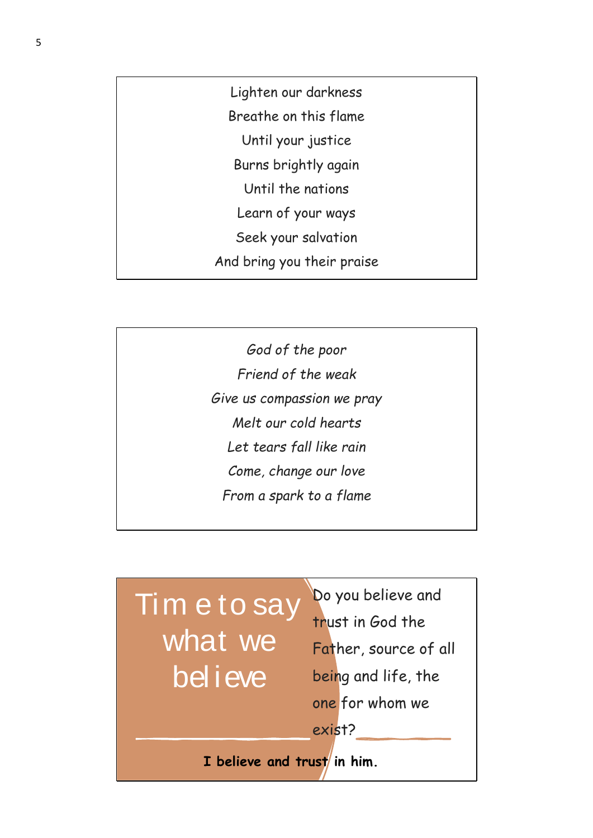Lighten our darkness Breathe on this flame Until your justice Burns brightly again Until the nations Learn of your ways Seek your salvation And bring you their praise

*God of the poor Friend of the weak Give us compassion we pray Melt our cold hearts Let tears fall like rain Come, change our love From a spark to a flame*

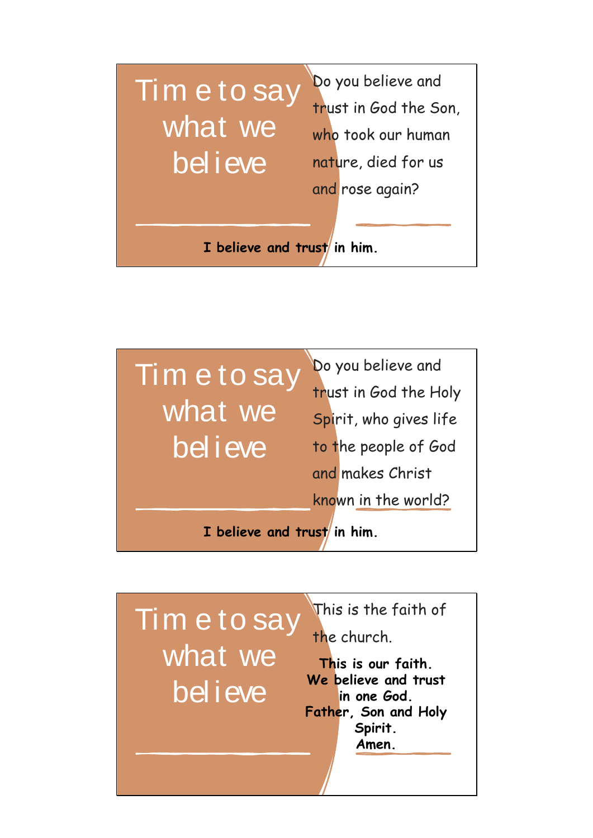



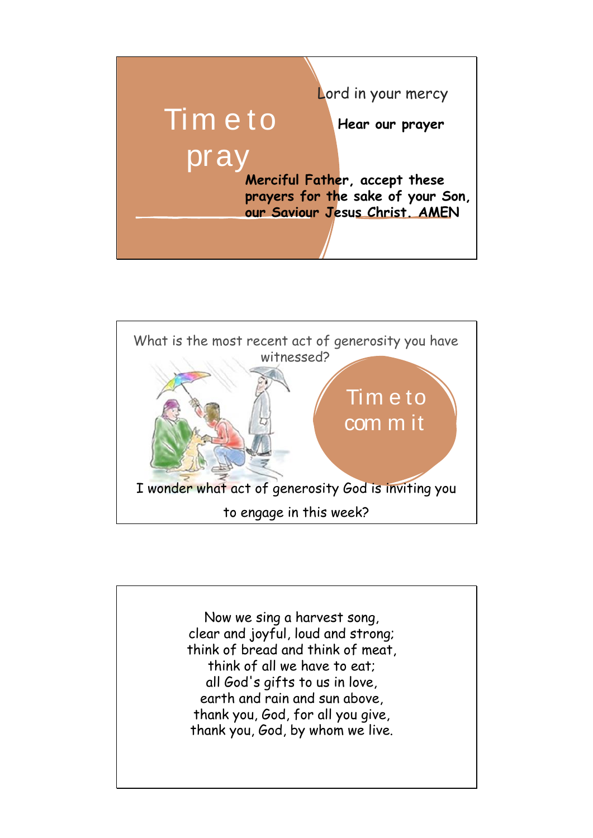



Now we sing a harvest song, clear and joyful, loud and strong; think of bread and think of meat, think of all we have to eat; all God's gifts to us in love, earth and rain and sun above, thank you, God, for all you give, thank you, God, by whom we live.